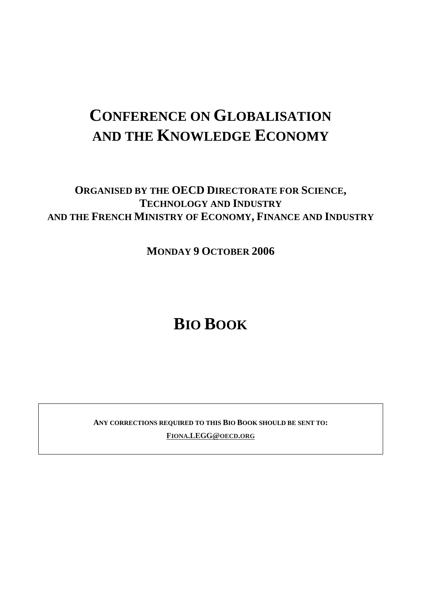# **CONFERENCE ON GLOBALISATION AND THE KNOWLEDGE ECONOMY**

# **ORGANISED BY THE OECD DIRECTORATE FOR SCIENCE, TECHNOLOGY AND INDUSTRY AND THE FRENCH MINISTRY OF ECONOMY, FINANCE AND INDUSTRY**

**MONDAY 9 OCTOBER 2006** 

# **BIO BOOK**

**ANY CORRECTIONS REQUIRED TO THIS BIO BOOK SHOULD BE SENT TO: FIONA.LEGG@OECD.ORG**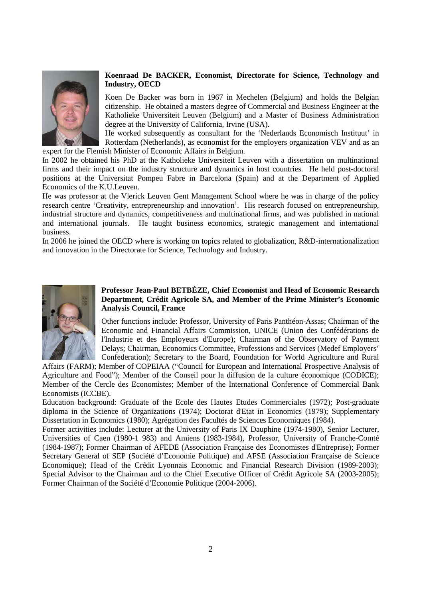

# **Koenraad De BACKER, Economist, Directorate for Science, Technology and Industry, OECD**

Koen De Backer was born in 1967 in Mechelen (Belgium) and holds the Belgian citizenship. He obtained a masters degree of Commercial and Business Engineer at the Katholieke Universiteit Leuven (Belgium) and a Master of Business Administration degree at the University of California, Irvine (USA).

He worked subsequently as consultant for the 'Nederlands Economisch Instituut' in Rotterdam (Netherlands), as economist for the employers organization VEV and as an expert for the Flemish Minister of Economic Affairs in Belgium.

In 2002 he obtained his PhD at the Katholieke Universiteit Leuven with a dissertation on multinational firms and their impact on the industry structure and dynamics in host countries. He held post-doctoral positions at the Universitat Pompeu Fabre in Barcelona (Spain) and at the Department of Applied Economics of the K.U.Leuven.

He was professor at the Vlerick Leuven Gent Management School where he was in charge of the policy research centre 'Creativity, entrepreneurship and innovation'. His research focused on entrepreneurship, industrial structure and dynamics, competitiveness and multinational firms, and was published in national and international journals. He taught business economics, strategic management and international business.

In 2006 he joined the OECD where is working on topics related to globalization, R&D-internationalization and innovation in the Directorate for Science, Technology and Industry.



#### **Professor Jean-Paul BETBÉZE, Chief Economist and Head of Economic Research Department, Crédit Agricole SA, and Member of the Prime Minister's Economic Analysis Council, France**

Other functions include: Professor, University of Paris Panthéon-Assas; Chairman of the Economic and Financial Affairs Commission, UNICE (Union des Confédérations de l'Industrie et des Employeurs d'Europe); Chairman of the Observatory of Payment Delays; Chairman, Economics Committee, Professions and Services (Medef Employers' Confederation); Secretary to the Board, Foundation for World Agriculture and Rural

Affairs (FARM); Member of COPEIAA ("Council for European and International Prospective Analysis of Agriculture and Food"); Member of the Conseil pour la diffusion de la culture économique (CODICE); Member of the Cercle des Economistes; Member of the International Conference of Commercial Bank Economists (ICCBE).

Education background: Graduate of the Ecole des Hautes Etudes Commerciales (1972); Post-graduate diploma in the Science of Organizations (1974); Doctorat d'Etat in Economics (1979); Supplementary Dissertation in Economics (1980); Agrégation des Facultés de Sciences Economiques (1984).

Former activities include: Lecturer at the University of Paris IX Dauphine (1974-1980), Senior Lecturer, Universities of Caen (1980-1 983) and Amiens (1983-1984), Professor, University of Franche-Comté (1984-1987); Former Chairman of AFEDE (Association Française des Economistes d'Entreprise); Former Secretary General of SEP (Société d'Economie Politique) and AFSE (Association Française de Science Economique); Head of the Crédit Lyonnais Economic and Financial Research Division (1989-2003); Special Advisor to the Chairman and to the Chief Executive Officer of Crédit Agricole SA (2003-2005); Former Chairman of the Société d'Economie Politique (2004-2006).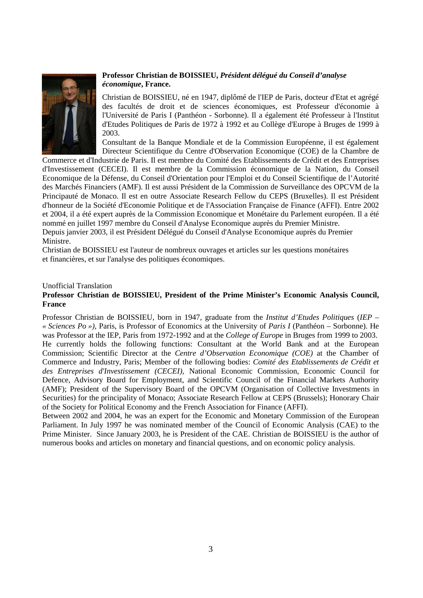

# **Professor Christian de BOISSIEU,** *Président délégué du Conseil d'analyse économique***, France.**

Christian de BOISSIEU, né en 1947, diplômé de l'IEP de Paris, docteur d'Etat et agrégé des facultés de droit et de sciences économiques, est Professeur d'économie à l'Université de Paris I (Panthéon - Sorbonne). Il a également été Professeur à l'Institut d'Etudes Politiques de Paris de 1972 à 1992 et au Collège d'Europe à Bruges de 1999 à 2003.

Consultant de la Banque Mondiale et de la Commission Européenne, il est également Directeur Scientifique du Centre d'Observation Economique (COE) de la Chambre de

Commerce et d'Industrie de Paris. Il est membre du Comité des Etablissements de Crédit et des Entreprises d'Investissement (CECEI). Il est membre de la Commission économique de la Nation, du Conseil Economique de la Défense, du Conseil d'Orientation pour l'Emploi et du Conseil Scientifique de l'Autorité des Marchés Financiers (AMF). Il est aussi Président de la Commission de Surveillance des OPCVM de la Principauté de Monaco. Il est en outre Associate Research Fellow du CEPS (Bruxelles). Il est Président d'honneur de la Société d'Economie Politique et de l'Association Française de Finance (AFFI). Entre 2002 et 2004, il a été expert auprès de la Commission Economique et Monétaire du Parlement européen. Il a été nommé en juillet 1997 membre du Conseil d'Analyse Economique auprès du Premier Ministre. Depuis janvier 2003, il est Président Délégué du Conseil d'Analyse Economique auprès du Premier Ministre.

Christian de BOISSIEU est l'auteur de nombreux ouvrages et articles sur les questions monétaires et financières, et sur l'analyse des politiques économiques.

#### Unofficial Translation

#### **Professor Christian de BOISSIEU, President of the Prime Minister's Economic Analysis Council, France**

Professor Christian de BOISSIEU, born in 1947, graduate from the *Institut d'Etudes Politiques* (*IEP – « Sciences Po »)*, Paris, is Professor of Economics at the University of *Paris I* (Panthéon – Sorbonne). He was Professor at the IEP, Paris from 1972-1992 and at the *College of Europe* in Bruges from 1999 to 2003. He currently holds the following functions: Consultant at the World Bank and at the European Commission; Scientific Director at the *Centre d'Observation Economique (COE)* at the Chamber of Commerce and Industry, Paris; Member of the following bodies: *Comité des Etablissements de Crédit et des Entreprises d'Investissement (CECEI),* National Economic Commission, Economic Council for Defence, Advisory Board for Employment, and Scientific Council of the Financial Markets Authority (AMF); President of the Supervisory Board of the OPCVM (Organisation of Collective Investments in Securities) for the principality of Monaco; Associate Research Fellow at CEPS (Brussels); Honorary Chair of the Society for Political Economy and the French Association for Finance (AFFI).

Between 2002 and 2004, he was an expert for the Economic and Monetary Commission of the European Parliament. In July 1997 he was nominated member of the Council of Economic Analysis (CAE) to the Prime Minister. Since January 2003, he is President of the CAE. Christian de BOISSIEU is the author of numerous books and articles on monetary and financial questions, and on economic policy analysis.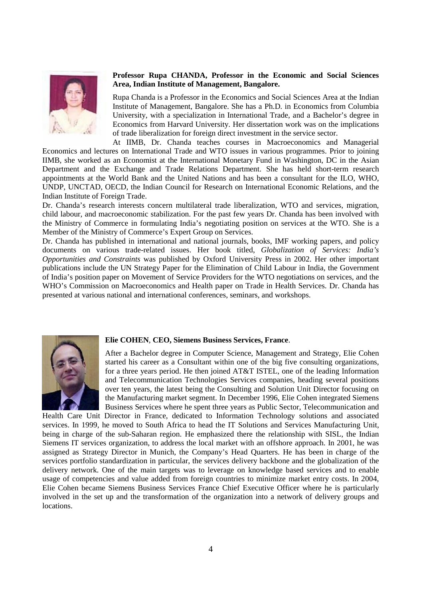

### **Professor Rupa CHANDA, Professor in the Economic and Social Sciences Area, Indian Institute of Management, Bangalore.**

Rupa Chanda is a Professor in the Economics and Social Sciences Area at the Indian Institute of Management, Bangalore. She has a Ph.D. in Economics from Columbia University, with a specialization in International Trade, and a Bachelor's degree in Economics from Harvard University. Her dissertation work was on the implications of trade liberalization for foreign direct investment in the service sector.

At IIMB, Dr. Chanda teaches courses in Macroeconomics and Managerial Economics and lectures on International Trade and WTO issues in various programmes. Prior to joining IIMB, she worked as an Economist at the International Monetary Fund in Washington, DC in the Asian Department and the Exchange and Trade Relations Department. She has held short-term research appointments at the World Bank and the United Nations and has been a consultant for the ILO, WHO, UNDP, UNCTAD, OECD, the Indian Council for Research on International Economic Relations, and the Indian Institute of Foreign Trade.

Dr. Chanda's research interests concern multilateral trade liberalization, WTO and services, migration, child labour, and macroeconomic stabilization. For the past few years Dr. Chanda has been involved with the Ministry of Commerce in formulating India's negotiating position on services at the WTO. She is a Member of the Ministry of Commerce's Expert Group on Services.

Dr. Chanda has published in international and national journals, books, IMF working papers, and policy documents on various trade-related issues. Her book titled, *Globalization of Services: India's Opportunities and Constraints* was published by Oxford University Press in 2002. Her other important publications include the UN Strategy Paper for the Elimination of Child Labour in India, the Government of India's position paper on Movement of Service Providers for the WTO negotiations on services, and the WHO's Commission on Macroeconomics and Health paper on Trade in Health Services. Dr. Chanda has presented at various national and international conferences, seminars, and workshops.



#### **Elie COHEN**, **CEO, Siemens Business Services, France**.

After a Bachelor degree in Computer Science, Management and Strategy, Elie Cohen started his career as a Consultant within one of the big five consulting organizations, for a three years period. He then joined AT&T ISTEL, one of the leading Information and Telecommunication Technologies Services companies, heading several positions over ten years, the latest being the Consulting and Solution Unit Director focusing on the Manufacturing market segment. In December 1996, Elie Cohen integrated Siemens Business Services where he spent three years as Public Sector, Telecommunication and

Health Care Unit Director in France, dedicated to Information Technology solutions and associated services. In 1999, he moved to South Africa to head the IT Solutions and Services Manufacturing Unit, being in charge of the sub-Saharan region. He emphasized there the relationship with SISL, the Indian Siemens IT services organization, to address the local market with an offshore approach. In 2001, he was assigned as Strategy Director in Munich, the Company's Head Quarters. He has been in charge of the services portfolio standardization in particular, the services delivery backbone and the globalization of the delivery network. One of the main targets was to leverage on knowledge based services and to enable usage of competencies and value added from foreign countries to minimize market entry costs. In 2004, Elie Cohen became Siemens Business Services France Chief Executive Officer where he is particularly involved in the set up and the transformation of the organization into a network of delivery groups and locations.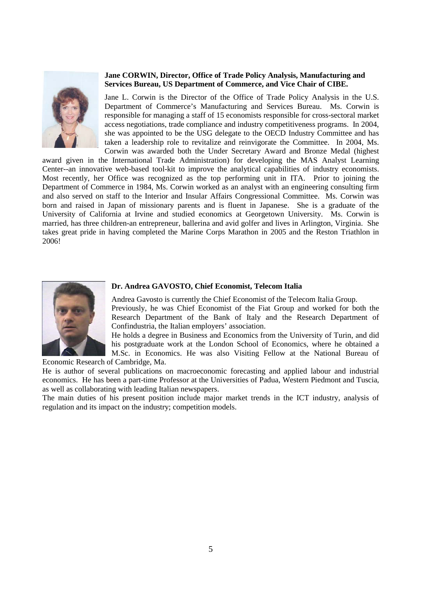

#### **Jane CORWIN, Director, Office of Trade Policy Analysis, Manufacturing and Services Bureau, US Department of Commerce, and Vice Chair of CIBE.**

Jane L. Corwin is the Director of the Office of Trade Policy Analysis in the U.S. Department of Commerce's Manufacturing and Services Bureau. Ms. Corwin is responsible for managing a staff of 15 economists responsible for cross-sectoral market access negotiations, trade compliance and industry competitiveness programs. In 2004, she was appointed to be the USG delegate to the OECD Industry Committee and has taken a leadership role to revitalize and reinvigorate the Committee. In 2004, Ms. Corwin was awarded both the Under Secretary Award and Bronze Medal (highest

award given in the International Trade Administration) for developing the MAS Analyst Learning Center--an innovative web-based tool-kit to improve the analytical capabilities of industry economists. Most recently, her Office was recognized as the top performing unit in ITA. Prior to joining the Department of Commerce in 1984, Ms. Corwin worked as an analyst with an engineering consulting firm and also served on staff to the Interior and Insular Affairs Congressional Committee. Ms. Corwin was born and raised in Japan of missionary parents and is fluent in Japanese. She is a graduate of the University of California at Irvine and studied economics at Georgetown University. Ms. Corwin is married, has three children-an entrepreneur, ballerina and avid golfer and lives in Arlington, Virginia. She takes great pride in having completed the Marine Corps Marathon in 2005 and the Reston Triathlon in 2006!



#### **Dr. Andrea GAVOSTO, Chief Economist, Telecom Italia**

Andrea Gavosto is currently the Chief Economist of the Telecom Italia Group.

Previously, he was Chief Economist of the Fiat Group and worked for both the Research Department of the Bank of Italy and the Research Department of Confindustria, the Italian employers' association.

He holds a degree in Business and Economics from the University of Turin, and did his postgraduate work at the London School of Economics, where he obtained a M.Sc. in Economics. He was also Visiting Fellow at the National Bureau of

Economic Research of Cambridge, Ma.

He is author of several publications on macroeconomic forecasting and applied labour and industrial economics. He has been a part-time Professor at the Universities of Padua, Western Piedmont and Tuscia, as well as collaborating with leading Italian newspapers.

The main duties of his present position include major market trends in the ICT industry, analysis of regulation and its impact on the industry; competition models.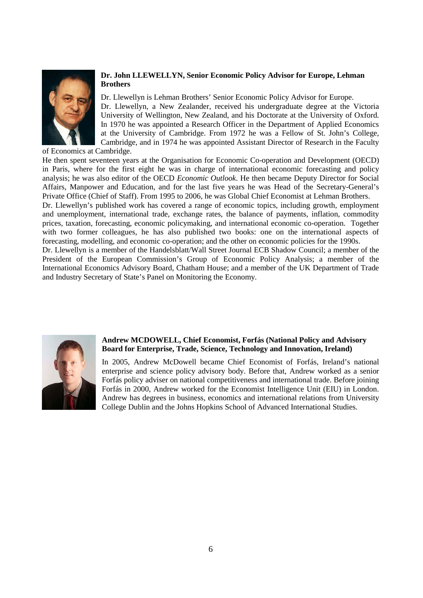

# **Dr. John LLEWELLYN, Senior Economic Policy Advisor for Europe, Lehman Brothers**

Dr. Llewellyn is Lehman Brothers' Senior Economic Policy Advisor for Europe. Dr. Llewellyn, a New Zealander, received his undergraduate degree at the Victoria University of Wellington, New Zealand, and his Doctorate at the University of Oxford. In 1970 he was appointed a Research Officer in the Department of Applied Economics at the University of Cambridge. From 1972 he was a Fellow of St. John's College, Cambridge, and in 1974 he was appointed Assistant Director of Research in the Faculty

of Economics at Cambridge.

He then spent seventeen years at the Organisation for Economic Co-operation and Development (OECD) in Paris, where for the first eight he was in charge of international economic forecasting and policy analysis; he was also editor of the OECD *Economic Outlook*. He then became Deputy Director for Social Affairs, Manpower and Education, and for the last five years he was Head of the Secretary-General's Private Office (Chief of Staff). From 1995 to 2006, he was Global Chief Economist at Lehman Brothers.

Dr. Llewellyn's published work has covered a range of economic topics, including growth, employment and unemployment, international trade, exchange rates, the balance of payments, inflation, commodity prices, taxation, forecasting, economic policymaking, and international economic co-operation. Together with two former colleagues, he has also published two books: one on the international aspects of forecasting, modelling, and economic co-operation; and the other on economic policies for the 1990s.

Dr. Llewellyn is a member of the Handelsblatt/Wall Street Journal ECB Shadow Council; a member of the President of the European Commission's Group of Economic Policy Analysis; a member of the International Economics Advisory Board, Chatham House; and a member of the UK Department of Trade and Industry Secretary of State's Panel on Monitoring the Economy.



## **Andrew MCDOWELL, Chief Economist, Forfás (National Policy and Advisory Board for Enterprise, Trade, Science, Technology and Innovation, Ireland)**

In 2005, Andrew McDowell became Chief Economist of Forfás, Ireland's national enterprise and science policy advisory body. Before that, Andrew worked as a senior Forfás policy adviser on national competitiveness and international trade. Before joining Forfás in 2000, Andrew worked for the Economist Intelligence Unit (EIU) in London. Andrew has degrees in business, economics and international relations from University College Dublin and the Johns Hopkins School of Advanced International Studies.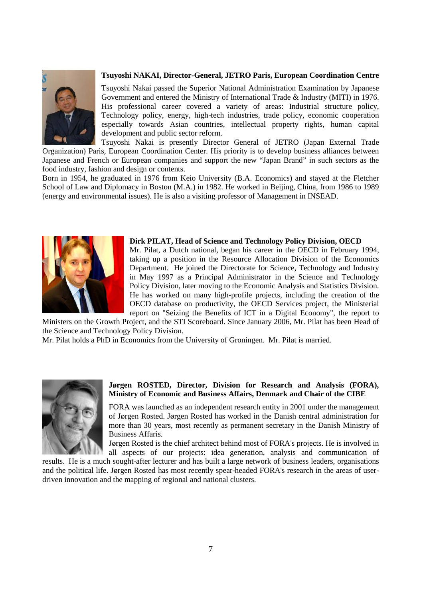

## **Tsuyoshi NAKAI, Director-General, JETRO Paris, European Coordination Centre**

Tsuyoshi Nakai passed the Superior National Administration Examination by Japanese Government and entered the Ministry of International Trade & Industry (MITI) in 1976. His professional career covered a variety of areas: Industrial structure policy, Technology policy, energy, high-tech industries, trade policy, economic cooperation especially towards Asian countries, intellectual property rights, human capital development and public sector reform.

Tsuyoshi Nakai is presently Director General of JETRO (Japan External Trade Organization) Paris, European Coordination Center. His priority is to develop business alliances between Japanese and French or European companies and support the new "Japan Brand" in such sectors as the food industry, fashion and design or contents.

Born in 1954, he graduated in 1976 from Keio University (B.A. Economics) and stayed at the Fletcher School of Law and Diplomacy in Boston (M.A.) in 1982. He worked in Beijing, China, from 1986 to 1989 (energy and environmental issues). He is also a visiting professor of Management in INSEAD.



**Dirk PILAT, Head of Science and Technology Policy Division, OECD**  Mr. Pilat, a Dutch national, began his career in the OECD in February 1994, taking up a position in the Resource Allocation Division of the Economics Department. He joined the Directorate for Science, Technology and Industry in May 1997 as a Principal Administrator in the Science and Technology Policy Division, later moving to the Economic Analysis and Statistics Division. He has worked on many high-profile projects, including the creation of the OECD database on productivity, the OECD Services project, the Ministerial report on "Seizing the Benefits of ICT in a Digital Economy", the report to

Ministers on the Growth Project, and the STI Scoreboard. Since January 2006, Mr. Pilat has been Head of the Science and Technology Policy Division.

Mr. Pilat holds a PhD in Economics from the University of Groningen. Mr. Pilat is married.



#### **Jørgen ROSTED, Director, Division for Research and Analysis (FORA), Ministry of Economic and Business Affairs, Denmark and Chair of the CIBE**

FORA was launched as an independent research entity in 2001 under the management of Jørgen Rosted. Jørgen Rosted has worked in the Danish central administration for more than 30 years, most recently as permanent secretary in the Danish Ministry of Business Affaris.

Jørgen Rosted is the chief architect behind most of FORA's projects. He is involved in all aspects of our projects: idea generation, analysis and communication of

results. He is a much sought-after lecturer and has built a large network of business leaders, organisations and the political life. Jørgen Rosted has most recently spear-headed FORA's research in the areas of userdriven innovation and the mapping of regional and national clusters.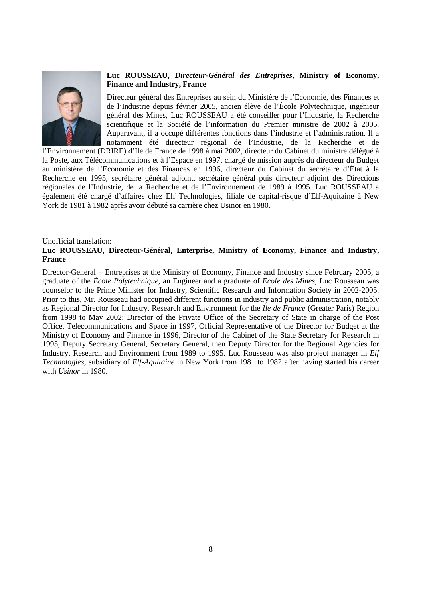

## **Luc ROUSSEAU,** *Directeur-Général des Entreprises***, Ministry of Economy, Finance and Industry, France**

Directeur général des Entreprises au sein du Ministère de l'Economie, des Finances et de l'Industrie depuis février 2005, ancien élève de l'École Polytechnique, ingénieur général des Mines, Luc ROUSSEAU a été conseiller pour l'Industrie, la Recherche scientifique et la Société de l'information du Premier ministre de 2002 à 2005. Auparavant, il a occupé différentes fonctions dans l'industrie et l'administration. Il a notamment été directeur régional de l'Industrie, de la Recherche et de

l'Environnement (DRIRE) d'Ile de France de 1998 à mai 2002, directeur du Cabinet du ministre délégué à la Poste, aux Télécommunications et à l'Espace en 1997, chargé de mission auprès du directeur du Budget au ministère de l'Economie et des Finances en 1996, directeur du Cabinet du secrétaire d'État à la Recherche en 1995, secrétaire général adjoint, secrétaire général puis directeur adjoint des Directions régionales de l'Industrie, de la Recherche et de l'Environnement de 1989 à 1995. Luc ROUSSEAU a également été chargé d'affaires chez Elf Technologies, filiale de capital-risque d'Elf-Aquitaine à New York de 1981 à 1982 après avoir débuté sa carrière chez Usinor en 1980.

#### Unofficial translation:

## **Luc ROUSSEAU, Directeur-Général, Enterprise, Ministry of Economy, Finance and Industry, France**

Director-General – Entreprises at the Ministry of Economy, Finance and Industry since February 2005, a graduate of the *École Polytechnique*, an Engineer and a graduate of *Ecole des Mines*, Luc Rousseau was counselor to the Prime Minister for Industry, Scientific Research and Information Society in 2002-2005. Prior to this, Mr. Rousseau had occupied different functions in industry and public administration, notably as Regional Director for Industry, Research and Environment for the *Ile de France* (Greater Paris) Region from 1998 to May 2002; Director of the Private Office of the Secretary of State in charge of the Post Office, Telecommunications and Space in 1997, Official Representative of the Director for Budget at the Ministry of Economy and Finance in 1996, Director of the Cabinet of the State Secretary for Research in 1995, Deputy Secretary General, Secretary General, then Deputy Director for the Regional Agencies for Industry, Research and Environment from 1989 to 1995. Luc Rousseau was also project manager in *Elf Technologies*, subsidiary of *Elf-Aquitaine* in New York from 1981 to 1982 after having started his career with *Usinor* in 1980.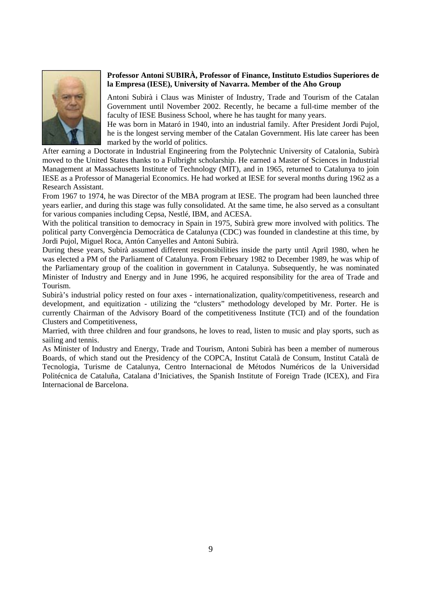

## **Professor Antoni SUBIRÀ, Professor of Finance, Instituto Estudios Superiores de la Empresa (IESE), University of Navarra. Member of the Aho Group**

Antoni Subirà i Claus was Minister of Industry, Trade and Tourism of the Catalan Government until November 2002. Recently, he became a full-time member of the faculty of IESE Business School, where he has taught for many years.

He was born in Mataró in 1940, into an industrial family. After President Jordi Pujol, he is the longest serving member of the Catalan Government. His late career has been marked by the world of politics.

After earning a Doctorate in Industrial Engineering from the Polytechnic University of Catalonia, Subirà moved to the United States thanks to a Fulbright scholarship. He earned a Master of Sciences in Industrial Management at Massachusetts Institute of Technology (MIT), and in 1965, returned to Catalunya to join IESE as a Professor of Managerial Economics. He had worked at IESE for several months during 1962 as a Research Assistant.

From 1967 to 1974, he was Director of the MBA program at IESE. The program had been launched three years earlier, and during this stage was fully consolidated. At the same time, he also served as a consultant for various companies including Cepsa, Nestlé, IBM, and ACESA.

With the political transition to democracy in Spain in 1975, Subirà grew more involved with politics. The political party Convergència Democràtica de Catalunya (CDC) was founded in clandestine at this time, by Jordi Pujol, Miguel Roca, Antón Canyelles and Antoni Subirà.

During these years, Subirà assumed different responsibilities inside the party until April 1980, when he was elected a PM of the Parliament of Catalunya. From February 1982 to December 1989, he was whip of the Parliamentary group of the coalition in government in Catalunya. Subsequently, he was nominated Minister of Industry and Energy and in June 1996, he acquired responsibility for the area of Trade and Tourism.

Subirà's industrial policy rested on four axes - internationalization, quality/competitiveness, research and development, and equitization - utilizing the "clusters" methodology developed by Mr. Porter. He is currently Chairman of the Advisory Board of the competitiveness Institute (TCI) and of the foundation Clusters and Competitiveness,

Married, with three children and four grandsons, he loves to read, listen to music and play sports, such as sailing and tennis.

As Minister of Industry and Energy, Trade and Tourism, Antoni Subirà has been a member of numerous Boards, of which stand out the Presidency of the COPCA, Institut Català de Consum, Institut Català de Tecnologia, Turisme de Catalunya, Centro Internacional de Métodos Numéricos de la Universidad Politécnica de Cataluña, Catalana d'Iniciatives, the Spanish Institute of Foreign Trade (ICEX), and Fira Internacional de Barcelona.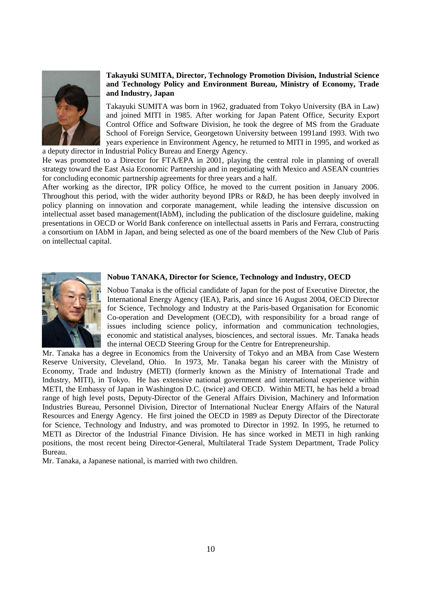

# **Takayuki SUMITA, Director, Technology Promotion Division, Industrial Science and Technology Policy and Environment Bureau, Ministry of Economy, Trade and Industry, Japan**

Takayuki SUMITA was born in 1962, graduated from Tokyo University (BA in Law) and joined MITI in 1985. After working for Japan Patent Office, Security Export Control Office and Software Division, he took the degree of MS from the Graduate School of Foreign Service, Georgetown University between 1991and 1993. With two years experience in Environment Agency, he returned to MITI in 1995, and worked as a deputy director in Industrial Policy Bureau and Energy Agency.

He was promoted to a Director for FTA/EPA in 2001, playing the central role in planning of overall strategy toward the East Asia Economic Partnership and in negotiating with Mexico and ASEAN countries for concluding economic partnership agreements for three years and a half.

After working as the director, IPR policy Office, he moved to the current position in January 2006. Throughout this period, with the wider authority beyond IPRs or R&D, he has been deeply involved in policy planning on innovation and corporate management, while leading the intensive discussion on intellectual asset based management(IAbM), including the publication of the disclosure guideline, making presentations in OECD or World Bank conference on intellectual assetts in Paris and Ferrara, constructing a consortium on IAbM in Japan, and being selected as one of the board members of the New Club of Paris on intellectual capital.



#### **Nobuo TANAKA, Director for Science, Technology and Industry, OECD**

Nobuo Tanaka is the official candidate of Japan for the post of Executive Director, the International Energy Agency (IEA), Paris, and since 16 August 2004, OECD Director for Science, Technology and Industry at the Paris-based Organisation for Economic Co-operation and Development (OECD), with responsibility for a broad range of issues including science policy, information and communication technologies, economic and statistical analyses, biosciences, and sectoral issues. Mr. Tanaka heads the internal OECD Steering Group for the Centre for Entrepreneurship.

Mr. Tanaka has a degree in Economics from the University of Tokyo and an MBA from Case Western Reserve University, Cleveland, Ohio. In 1973, Mr. Tanaka began his career with the Ministry of Economy, Trade and Industry (METI) (formerly known as the Ministry of International Trade and Industry, MITI), in Tokyo. He has extensive national government and international experience within METI, the Embassy of Japan in Washington D.C. (twice) and OECD. Within METI, he has held a broad range of high level posts, Deputy-Director of the General Affairs Division, Machinery and Information Industries Bureau, Personnel Division, Director of International Nuclear Energy Affairs of the Natural Resources and Energy Agency. He first joined the OECD in 1989 as Deputy Director of the Directorate for Science, Technology and Industry, and was promoted to Director in 1992. In 1995, he returned to METI as Director of the Industrial Finance Division. He has since worked in METI in high ranking positions, the most recent being Director-General, Multilateral Trade System Department, Trade Policy Bureau.

Mr. Tanaka, a Japanese national, is married with two children.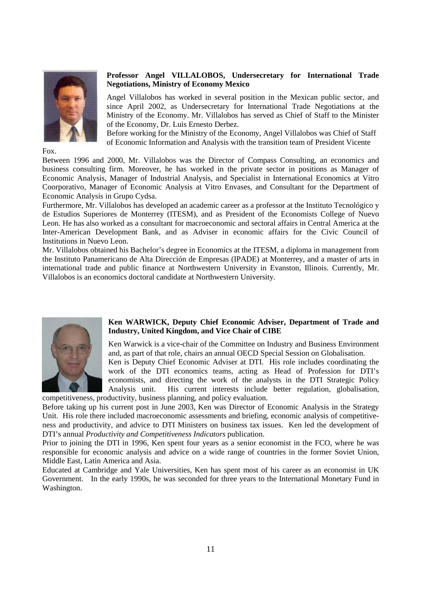

Fox.

#### **Professor Angel VILLALOBOS, Undersecretary for International Trade Negotiations, Ministry of Economy Mexico**

Angel Villalobos has worked in several position in the Mexican public sector, and since April 2002, as Undersecretary for International Trade Negotiations at the Ministry of the Economy. Mr. Villalobos has served as Chief of Staff to the Minister of the Economy, Dr. Luis Ernesto Derbez.

Before working for the Ministry of the Economy, Angel Villalobos was Chief of Staff of Economic Information and Analysis with the transition team of President Vicente

Between 1996 and 2000, Mr. Villalobos was the Director of Compass Consulting, an economics and business consulting firm. Moreover, he has worked in the private sector in positions as Manager of Economic Analysis, Manager of Industrial Analysis, and Specialist in International Economics at Vitro Coorporativo, Manager of Economic Analysis at Vitro Envases, and Consultant for the Department of Economic Analysis in Grupo Cydsa.

Furthermore, Mr. Villalobos has developed an academic career as a professor at the Instituto Tecnológico y de Estudios Superiores de Monterrey (ITESM), and as President of the Economists College of Nuevo Leon. He has also worked as a consultant for macroeconomic and sectoral affairs in Central America at the Inter-American Development Bank, and as Adviser in economic affairs for the Civic Council of Institutions in Nuevo Leon.

Mr. Villalobos obtained his Bachelor's degree in Economics at the ITESM, a diploma in management from the Instituto Panamericano de Alta Dirección de Empresas (IPADE) at Monterrey, and a master of arts in international trade and public finance at Northwestern University in Evanston, Illinois. Currently, Mr. Villalobos is an economics doctoral candidate at Northwestern University.



#### **Ken WARWICK, Deputy Chief Economic Adviser, Department of Trade and Industry, United Kingdom, and Vice Chair of CIBE**

Ken Warwick is a vice-chair of the Committee on Industry and Business Environment and, as part of that role, chairs an annual OECD Special Session on Globalisation.

Ken is Deputy Chief Economic Adviser at DTI. His role includes coordinating the work of the DTI economics teams, acting as Head of Profession for DTI's economists, and directing the work of the analysts in the DTI Strategic Policy Analysis unit. His current interests include better regulation, globalisation, competitiveness, productivity, business planning, and policy evaluation.

Before taking up his current post in June 2003, Ken was Director of Economic Analysis in the Strategy Unit. His role there included macroeconomic assessments and briefing, economic analysis of competitiveness and productivity, and advice to DTI Ministers on business tax issues. Ken led the development of DTI's annual *Productivity and Competitiveness Indicators* publication.

Prior to joining the DTI in 1996, Ken spent four years as a senior economist in the FCO, where he was responsible for economic analysis and advice on a wide range of countries in the former Soviet Union, Middle East, Latin America and Asia.

Educated at Cambridge and Yale Universities, Ken has spent most of his career as an economist in UK Government. In the early 1990s, he was seconded for three years to the International Monetary Fund in Washington.